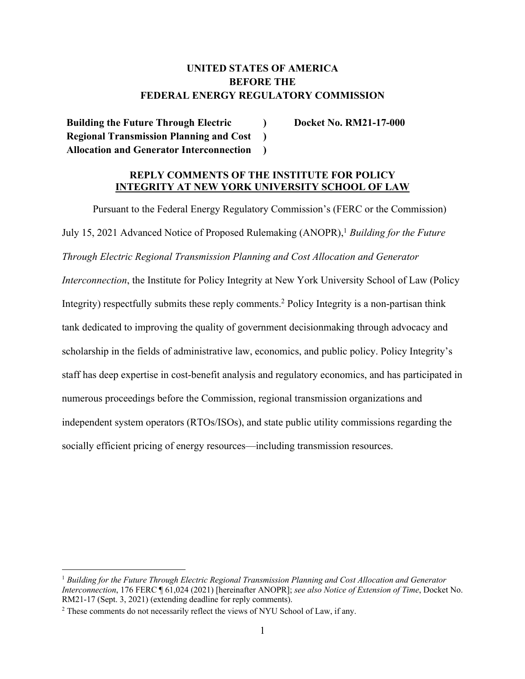# **UNITED STATES OF AMERICA BEFORE THE FEDERAL ENERGY REGULATORY COMMISSION**

**Building the Future Through Electric Regional Transmission Planning and Cost Allocation and Generator Interconnection ) ) )** **Docket No. RM21-17-000**

## **REPLY COMMENTS OF THE INSTITUTE FOR POLICY INTEGRITY AT NEW YORK UNIVERSITY SCHOOL OF LAW**

Pursuant to the Federal Energy Regulatory Commission's (FERC or the Commission) July 15, 2021 Advanced Notice of Proposed Rulemaking (ANOPR),1 *Building for the Future Through Electric Regional Transmission Planning and Cost Allocation and Generator Interconnection*, the Institute for Policy Integrity at New York University School of Law (Policy Integrity) respectfully submits these reply comments.<sup>2</sup> Policy Integrity is a non-partisan think tank dedicated to improving the quality of government decisionmaking through advocacy and scholarship in the fields of administrative law, economics, and public policy. Policy Integrity's staff has deep expertise in cost-benefit analysis and regulatory economics, and has participated in numerous proceedings before the Commission, regional transmission organizations and independent system operators (RTOs/ISOs), and state public utility commissions regarding the socially efficient pricing of energy resources—including transmission resources.

<sup>1</sup> *Building for the Future Through Electric Regional Transmission Planning and Cost Allocation and Generator Interconnection*, 176 FERC ¶ 61,024 (2021) [hereinafter ANOPR]; *see also Notice of Extension of Time*, Docket No. RM21-17 (Sept. 3, 2021) (extending deadline for reply comments).

<sup>&</sup>lt;sup>2</sup> These comments do not necessarily reflect the views of NYU School of Law, if any.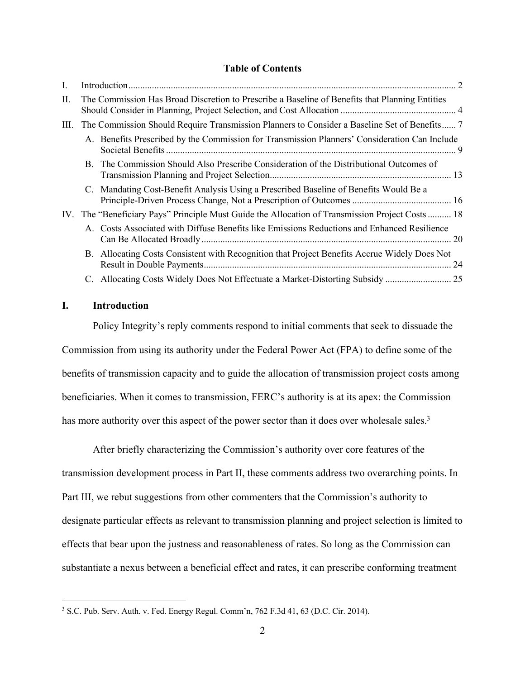### **Table of Contents**

| П. | The Commission Has Broad Discretion to Prescribe a Baseline of Benefits that Planning Entities |                                                                                                 |    |
|----|------------------------------------------------------------------------------------------------|-------------------------------------------------------------------------------------------------|----|
| Ш. | The Commission Should Require Transmission Planners to Consider a Baseline Set of Benefits 7   |                                                                                                 |    |
|    |                                                                                                | A. Benefits Prescribed by the Commission for Transmission Planners' Consideration Can Include   |    |
|    |                                                                                                | B. The Commission Should Also Prescribe Consideration of the Distributional Outcomes of         |    |
|    |                                                                                                | C. Mandating Cost-Benefit Analysis Using a Prescribed Baseline of Benefits Would Be a           |    |
|    |                                                                                                | IV. The "Beneficiary Pays" Principle Must Guide the Allocation of Transmission Project Costs 18 |    |
|    |                                                                                                | A. Costs Associated with Diffuse Benefits like Emissions Reductions and Enhanced Resilience     |    |
|    |                                                                                                | B. Allocating Costs Consistent with Recognition that Project Benefits Accrue Widely Does Not    | 24 |
|    |                                                                                                | C. Allocating Costs Widely Does Not Effectuate a Market-Distorting Subsidy                      |    |
|    |                                                                                                |                                                                                                 |    |

## **I. Introduction**

Policy Integrity's reply comments respond to initial comments that seek to dissuade the Commission from using its authority under the Federal Power Act (FPA) to define some of the benefits of transmission capacity and to guide the allocation of transmission project costs among beneficiaries. When it comes to transmission, FERC's authority is at its apex: the Commission has more authority over this aspect of the power sector than it does over wholesale sales.<sup>3</sup>

After briefly characterizing the Commission's authority over core features of the transmission development process in Part II, these comments address two overarching points. In Part III, we rebut suggestions from other commenters that the Commission's authority to designate particular effects as relevant to transmission planning and project selection is limited to effects that bear upon the justness and reasonableness of rates. So long as the Commission can substantiate a nexus between a beneficial effect and rates, it can prescribe conforming treatment

<sup>3</sup> S.C. Pub. Serv. Auth. v. Fed. Energy Regul. Comm'n, 762 F.3d 41, 63 (D.C. Cir. 2014).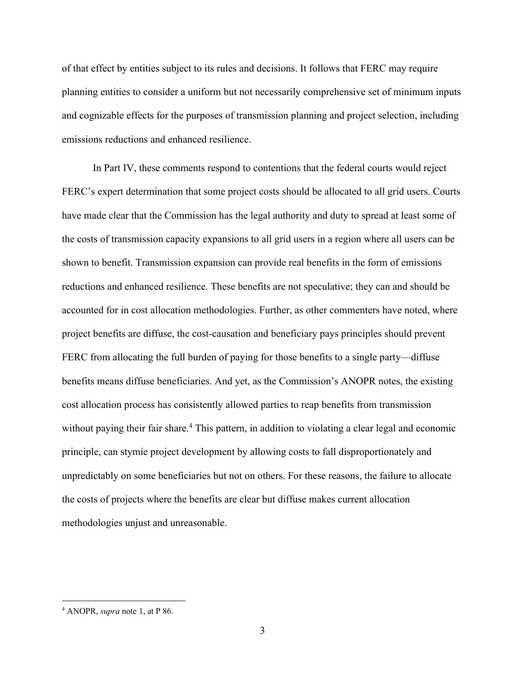of that effect by entities subject to its rules and decisions. It follows that FERC may require planning entities to consider a uniform but not necessarily comprehensive set of minimum inputs and cognizable effects for the purposes of transmission planning and project selection, including emissions reductions and enhanced resilience.

In Part IV, these comments respond to contentions that the federal courts would reject FERC's expert determination that some project costs should be allocated to all grid users. Courts have made clear that the Commission has the legal authority and duty to spread at least some of the costs of transmission capacity expansions to all grid users in a region where all users can be shown to benefit. Transmission expansion can provide real benefits in the form of emissions reductions and enhanced resilience. These benefits are not speculative; they can and should be accounted for in cost allocation methodologies. Further, as other commenters have noted, where project benefits are diffuse, the cost-causation and beneficiary pays principles should prevent FERC from allocating the full burden of paying for those benefits to a single party—diffuse benefits means diffuse beneficiaries. And yet, as the Commission's ANOPR notes, the existing cost allocation process has consistently allowed parties to reap benefits from transmission without paying their fair share.<sup>4</sup> This pattern, in addition to violating a clear legal and economic principle, can stymie project development by allowing costs to fall disproportionately and unpredictably on some beneficiaries but not on others. For these reasons, the failure to allocate the costs of projects where the benefits are clear but diffuse makes current allocation methodologies unjust and unreasonable.

<sup>4</sup> ANOPR, *supra* note 1, at P 86.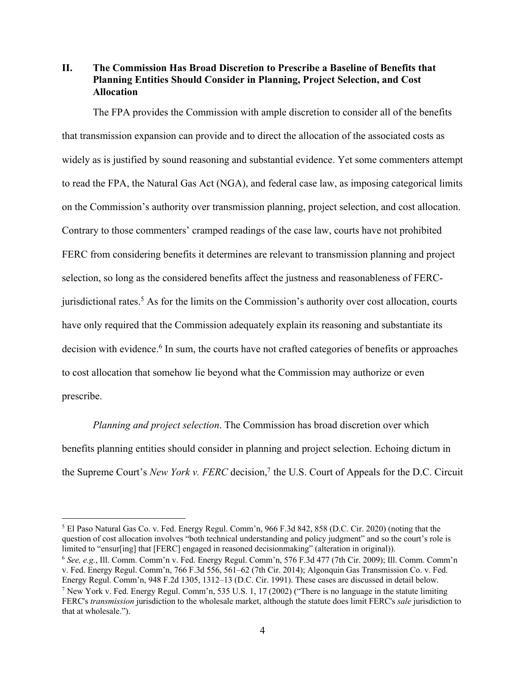**II. The Commission Has Broad Discretion to Prescribe a Baseline of Benefits that Planning Entities Should Consider in Planning, Project Selection, and Cost Allocation**

The FPA provides the Commission with ample discretion to consider all of the benefits that transmission expansion can provide and to direct the allocation of the associated costs as widely as is justified by sound reasoning and substantial evidence. Yet some commenters attempt to read the FPA, the Natural Gas Act (NGA), and federal case law, as imposing categorical limits on the Commission's authority over transmission planning, project selection, and cost allocation. Contrary to those commenters' cramped readings of the case law, courts have not prohibited FERC from considering benefits it determines are relevant to transmission planning and project selection, so long as the considered benefits affect the justness and reasonableness of FERCjurisdictional rates.<sup>5</sup> As for the limits on the Commission's authority over cost allocation, courts have only required that the Commission adequately explain its reasoning and substantiate its decision with evidence.<sup>6</sup> In sum, the courts have not crafted categories of benefits or approaches to cost allocation that somehow lie beyond what the Commission may authorize or even prescribe.

*Planning and project selection*. The Commission has broad discretion over which benefits planning entities should consider in planning and project selection. Echoing dictum in the Supreme Court's *New York v. FERC* decision,7 the U.S. Court of Appeals for the D.C. Circuit

<sup>5</sup> El Paso Natural Gas Co. v. Fed. Energy Regul. Comm'n, 966 F.3d 842, 858 (D.C. Cir. 2020) (noting that the question of cost allocation involves "both technical understanding and policy judgment" and so the court's role is limited to "ensur[ing] that [FERC] engaged in reasoned decisionmaking" (alteration in original)).<br><sup>6</sup> *See, e.g.*, Ill. Comm. Comm'n v. Fed. Energy Regul. Comm'n, 576 F.3d 477 (7th Cir. 2009); Ill. Comm. Comm'n

v. Fed. Energy Regul. Comm'n, 766 F.3d 556, 561–62 (7th Cir. 2014); Algonquin Gas Transmission Co. v. Fed. Energy Regul. Comm'n, 948 F.2d 1305, 1312–13 (D.C. Cir. 1991). These cases are discussed in detail below. <sup>7</sup> New York v. Fed. Energy Regul. Comm'n, 535 U.S. 1, 17 (2002) ("There is no language in the statute limiting FERC's *transmission* jurisdiction to the wholesale market, although the statute does limit FERC's *sale* jurisdiction to that at wholesale.").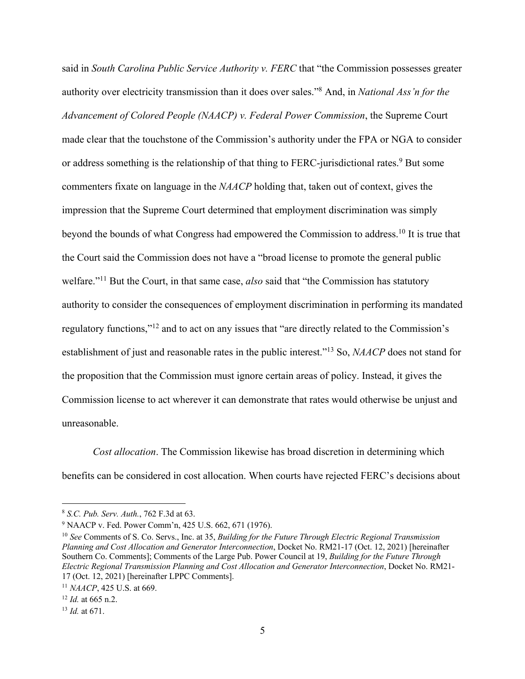said in *South Carolina Public Service Authority v. FERC* that "the Commission possesses greater authority over electricity transmission than it does over sales."8 And, in *National Ass'n for the Advancement of Colored People (NAACP) v. Federal Power Commission*, the Supreme Court made clear that the touchstone of the Commission's authority under the FPA or NGA to consider or address something is the relationship of that thing to FERC-jurisdictional rates.<sup>9</sup> But some commenters fixate on language in the *NAACP* holding that, taken out of context, gives the impression that the Supreme Court determined that employment discrimination was simply beyond the bounds of what Congress had empowered the Commission to address.10 It is true that the Court said the Commission does not have a "broad license to promote the general public welfare."11 But the Court, in that same case, *also* said that "the Commission has statutory authority to consider the consequences of employment discrimination in performing its mandated regulatory functions,"12 and to act on any issues that "are directly related to the Commission's establishment of just and reasonable rates in the public interest."13 So, *NAACP* does not stand for the proposition that the Commission must ignore certain areas of policy. Instead, it gives the Commission license to act wherever it can demonstrate that rates would otherwise be unjust and unreasonable.

*Cost allocation*. The Commission likewise has broad discretion in determining which benefits can be considered in cost allocation. When courts have rejected FERC's decisions about

<sup>8</sup> *S.C. Pub. Serv. Auth.*, 762 F.3d at 63.

<sup>9</sup> NAACP v. Fed. Power Comm'n, 425 U.S. 662, 671 (1976).

<sup>10</sup> *See* Comments of S. Co. Servs., Inc. at 35, *Building for the Future Through Electric Regional Transmission Planning and Cost Allocation and Generator Interconnection*, Docket No. RM21-17 (Oct. 12, 2021) [hereinafter Southern Co. Comments]; Comments of the Large Pub. Power Council at 19, *Building for the Future Through Electric Regional Transmission Planning and Cost Allocation and Generator Interconnection*, Docket No. RM21- 17 (Oct. 12, 2021) [hereinafter LPPC Comments].

<sup>11</sup> *NAACP*, 425 U.S. at 669.

<sup>12</sup> *Id.* at 665 n.2.

<sup>13</sup> *Id.* at 671.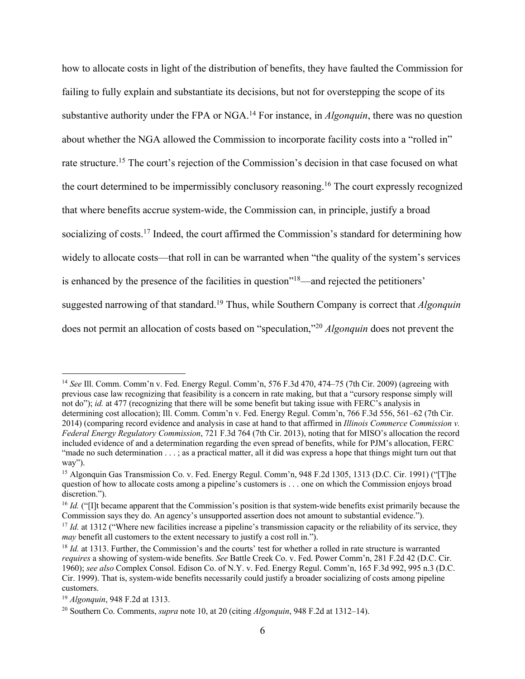how to allocate costs in light of the distribution of benefits, they have faulted the Commission for failing to fully explain and substantiate its decisions, but not for overstepping the scope of its substantive authority under the FPA or NGA.14 For instance, in *Algonquin*, there was no question about whether the NGA allowed the Commission to incorporate facility costs into a "rolled in" rate structure.15 The court's rejection of the Commission's decision in that case focused on what the court determined to be impermissibly conclusory reasoning.16 The court expressly recognized that where benefits accrue system-wide, the Commission can, in principle, justify a broad socializing of costs.<sup>17</sup> Indeed, the court affirmed the Commission's standard for determining how widely to allocate costs—that roll in can be warranted when "the quality of the system's services is enhanced by the presence of the facilities in question"<sup>18</sup>—and rejected the petitioners' suggested narrowing of that standard.19 Thus, while Southern Company is correct that *Algonquin* does not permit an allocation of costs based on "speculation,"20 *Algonquin* does not prevent the

<sup>14</sup> *See* Ill. Comm. Comm'n v. Fed. Energy Regul. Comm'n, 576 F.3d 470, 474–75 (7th Cir. 2009) (agreeing with previous case law recognizing that feasibility is a concern in rate making, but that a "cursory response simply will not do"); *id.* at 477 (recognizing that there will be some benefit but taking issue with FERC's analysis in determining cost allocation); Ill. Comm. Comm'n v. Fed. Energy Regul. Comm'n, 766 F.3d 556, 561–62 (7th Cir. 2014) (comparing record evidence and analysis in case at hand to that affirmed in *Illinois Commerce Commission v. Federal Energy Regulatory Commission*, 721 F.3d 764 (7th Cir. 2013), noting that for MISO's allocation the record included evidence of and a determination regarding the even spread of benefits, while for PJM's allocation, FERC "made no such determination . . . ; as a practical matter, all it did was express a hope that things might turn out that way").

<sup>&</sup>lt;sup>15</sup> Algonquin Gas Transmission Co. v. Fed. Energy Regul. Comm'n, 948 F.2d 1305, 1313 (D.C. Cir. 1991) ("[T]he question of how to allocate costs among a pipeline's customers is . . . one on which the Commission enjoys broad discretion.").

<sup>&</sup>lt;sup>16</sup> *Id.* ("[I]t became apparent that the Commission's position is that system-wide benefits exist primarily because the Commission says they do. An agency's unsupported assertion does not amount to substantial evidence.").

<sup>&</sup>lt;sup>17</sup> *Id.* at 1312 ("Where new facilities increase a pipeline's transmission capacity or the reliability of its service, they *may* benefit all customers to the extent necessary to justify a cost roll in.").

<sup>&</sup>lt;sup>18</sup> *Id.* at 1313. Further, the Commission's and the courts' test for whether a rolled in rate structure is warranted *requires* a showing of system-wide benefits. *See* Battle Creek Co. v. Fed. Power Comm'n, 281 F.2d 42 (D.C. Cir. 1960); *see also* Complex Consol. Edison Co. of N.Y. v. Fed. Energy Regul. Comm'n, 165 F.3d 992, 995 n.3 (D.C. Cir. 1999). That is, system-wide benefits necessarily could justify a broader socializing of costs among pipeline customers.

<sup>19</sup> *Algonquin*, 948 F.2d at 1313.

<sup>20</sup> Southern Co. Comments, *supra* note 10, at 20 (citing *Algonquin*, 948 F.2d at 1312–14).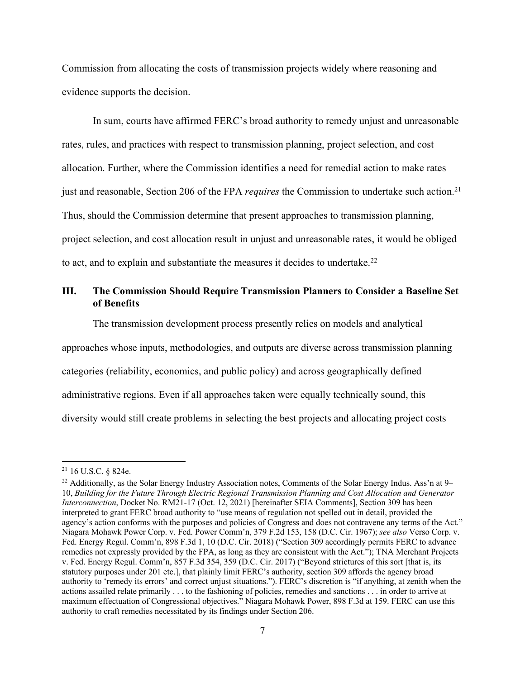Commission from allocating the costs of transmission projects widely where reasoning and evidence supports the decision.

In sum, courts have affirmed FERC's broad authority to remedy unjust and unreasonable rates, rules, and practices with respect to transmission planning, project selection, and cost allocation. Further, where the Commission identifies a need for remedial action to make rates just and reasonable, Section 206 of the FPA *requires* the Commission to undertake such action. 21 Thus, should the Commission determine that present approaches to transmission planning, project selection, and cost allocation result in unjust and unreasonable rates, it would be obliged to act, and to explain and substantiate the measures it decides to undertake.<sup>22</sup>

## **III. The Commission Should Require Transmission Planners to Consider a Baseline Set of Benefits**

The transmission development process presently relies on models and analytical

approaches whose inputs, methodologies, and outputs are diverse across transmission planning

categories (reliability, economics, and public policy) and across geographically defined

administrative regions. Even if all approaches taken were equally technically sound, this

diversity would still create problems in selecting the best projects and allocating project costs

<sup>21</sup> 16 U.S.C. § 824e.

<sup>&</sup>lt;sup>22</sup> Additionally, as the Solar Energy Industry Association notes, Comments of the Solar Energy Indus. Ass'n at 9– 10, *Building for the Future Through Electric Regional Transmission Planning and Cost Allocation and Generator Interconnection*, Docket No. RM21-17 (Oct. 12, 2021) [hereinafter SEIA Comments], Section 309 has been interpreted to grant FERC broad authority to "use means of regulation not spelled out in detail, provided the agency's action conforms with the purposes and policies of Congress and does not contravene any terms of the Act." Niagara Mohawk Power Corp. v. Fed. Power Comm'n, 379 F.2d 153, 158 (D.C. Cir. 1967); *see also* Verso Corp. v. Fed. Energy Regul. Comm'n, 898 F.3d 1, 10 (D.C. Cir. 2018) ("Section 309 accordingly permits FERC to advance remedies not expressly provided by the FPA, as long as they are consistent with the Act."); TNA Merchant Projects v. Fed. Energy Regul. Comm'n, 857 F.3d 354, 359 (D.C. Cir. 2017) ("Beyond strictures of this sort [that is, its statutory purposes under 201 etc.], that plainly limit FERC's authority, section 309 affords the agency broad authority to 'remedy its errors' and correct unjust situations."). FERC's discretion is "if anything, at zenith when the actions assailed relate primarily . . . to the fashioning of policies, remedies and sanctions . . . in order to arrive at maximum effectuation of Congressional objectives." Niagara Mohawk Power, 898 F.3d at 159. FERC can use this authority to craft remedies necessitated by its findings under Section 206.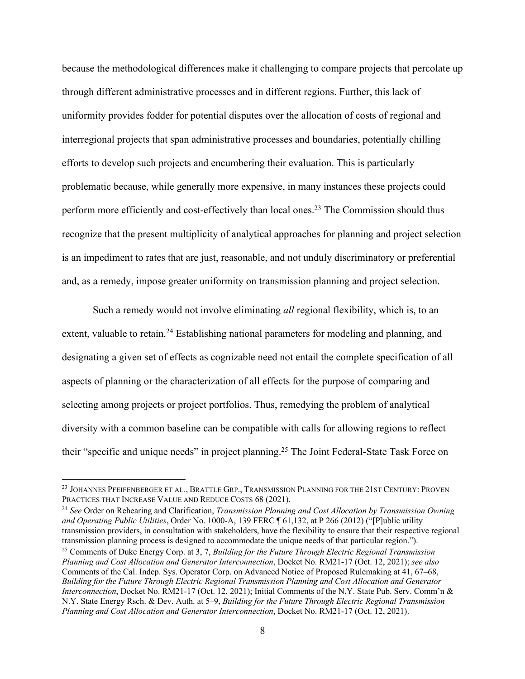because the methodological differences make it challenging to compare projects that percolate up through different administrative processes and in different regions. Further, this lack of uniformity provides fodder for potential disputes over the allocation of costs of regional and interregional projects that span administrative processes and boundaries, potentially chilling efforts to develop such projects and encumbering their evaluation. This is particularly problematic because, while generally more expensive, in many instances these projects could perform more efficiently and cost-effectively than local ones.<sup>23</sup> The Commission should thus recognize that the present multiplicity of analytical approaches for planning and project selection is an impediment to rates that are just, reasonable, and not unduly discriminatory or preferential and, as a remedy, impose greater uniformity on transmission planning and project selection.

Such a remedy would not involve eliminating *all* regional flexibility, which is, to an extent, valuable to retain.<sup>24</sup> Establishing national parameters for modeling and planning, and designating a given set of effects as cognizable need not entail the complete specification of all aspects of planning or the characterization of all effects for the purpose of comparing and selecting among projects or project portfolios. Thus, remedying the problem of analytical diversity with a common baseline can be compatible with calls for allowing regions to reflect their "specific and unique needs" in project planning.<sup>25</sup> The Joint Federal-State Task Force on

<sup>24</sup> *See* Order on Rehearing and Clarification, *Transmission Planning and Cost Allocation by Transmission Owning and Operating Public Utilities*, Order No. 1000-A, 139 FERC ¶ 61,132, at P 266 (2012) ("[P]ublic utility transmission providers, in consultation with stakeholders, have the flexibility to ensure that their respective regional transmission planning process is designed to accommodate the unique needs of that particular region."

<sup>&</sup>lt;sup>23</sup> JOHANNES PFEIFENBERGER ET AL., BRATTLE GRP., TRANSMISSION PLANNING FOR THE 21ST CENTURY: PROVEN PRACTICES THAT INCREASE VALUE AND REDUCE COSTS 68 (2021).

<sup>&</sup>lt;sup>25</sup> Comments of Duke Energy Corp. at 3, 7, *Building for the Future Through Electric Regional Transmission Planning and Cost Allocation and Generator Interconnection*, Docket No. RM21-17 (Oct. 12, 2021); *see also*  Comments of the Cal. Indep. Sys. Operator Corp. on Advanced Notice of Proposed Rulemaking at 41, 67–68, *Building for the Future Through Electric Regional Transmission Planning and Cost Allocation and Generator Interconnection*, Docket No. RM21-17 (Oct. 12, 2021); Initial Comments of the N.Y. State Pub. Serv. Comm'n & N.Y. State Energy Rsch. & Dev. Auth. at 5–9, *Building for the Future Through Electric Regional Transmission Planning and Cost Allocation and Generator Interconnection*, Docket No. RM21-17 (Oct. 12, 2021).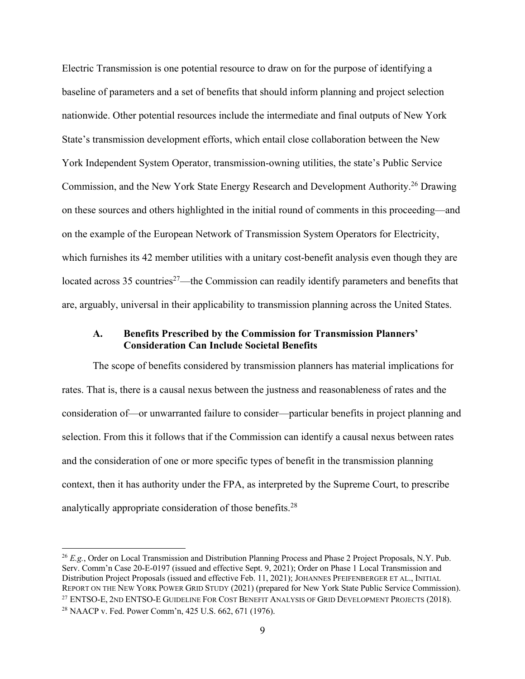Electric Transmission is one potential resource to draw on for the purpose of identifying a baseline of parameters and a set of benefits that should inform planning and project selection nationwide. Other potential resources include the intermediate and final outputs of New York State's transmission development efforts, which entail close collaboration between the New York Independent System Operator, transmission-owning utilities, the state's Public Service Commission, and the New York State Energy Research and Development Authority.26 Drawing on these sources and others highlighted in the initial round of comments in this proceeding—and on the example of the European Network of Transmission System Operators for Electricity, which furnishes its 42 member utilities with a unitary cost-benefit analysis even though they are located across 35 countries<sup>27</sup>—the Commission can readily identify parameters and benefits that are, arguably, universal in their applicability to transmission planning across the United States.

### **A. Benefits Prescribed by the Commission for Transmission Planners' Consideration Can Include Societal Benefits**

The scope of benefits considered by transmission planners has material implications for rates. That is, there is a causal nexus between the justness and reasonableness of rates and the consideration of—or unwarranted failure to consider—particular benefits in project planning and selection. From this it follows that if the Commission can identify a causal nexus between rates and the consideration of one or more specific types of benefit in the transmission planning context, then it has authority under the FPA, as interpreted by the Supreme Court, to prescribe analytically appropriate consideration of those benefits.28

<sup>&</sup>lt;sup>26</sup> *E.g.*, Order on Local Transmission and Distribution Planning Process and Phase 2 Project Proposals, N.Y. Pub. Serv. Comm'n Case 20-E-0197 (issued and effective Sept. 9, 2021); Order on Phase 1 Local Transmission and Distribution Project Proposals (issued and effective Feb. 11, 2021); JOHANNES PFEIFENBERGER ET AL., INITIAL REPORT ON THE NEW YORK POWER GRID STUDY (2021) (prepared for New York State Public Service Commission).<br><sup>27</sup> ENTSO-E, 2ND ENTSO-E GUIDELINE FOR COST BENEFIT ANALYSIS OF GRID DEVELOPMENT PROJECTS (2018). <sup>28</sup> NAACP v. Fed. Power Comm'n, 425 U.S. 662, 671 (1976).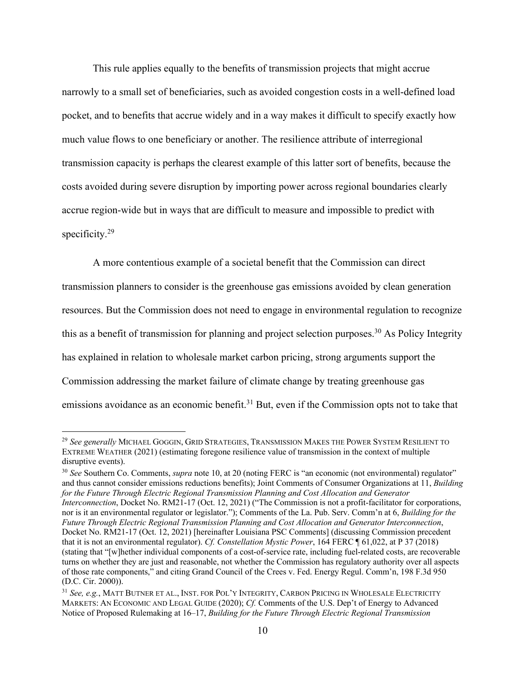This rule applies equally to the benefits of transmission projects that might accrue narrowly to a small set of beneficiaries, such as avoided congestion costs in a well-defined load pocket, and to benefits that accrue widely and in a way makes it difficult to specify exactly how much value flows to one beneficiary or another. The resilience attribute of interregional transmission capacity is perhaps the clearest example of this latter sort of benefits, because the costs avoided during severe disruption by importing power across regional boundaries clearly accrue region-wide but in ways that are difficult to measure and impossible to predict with specificity. 29

A more contentious example of a societal benefit that the Commission can direct transmission planners to consider is the greenhouse gas emissions avoided by clean generation resources. But the Commission does not need to engage in environmental regulation to recognize this as a benefit of transmission for planning and project selection purposes.<sup>30</sup> As Policy Integrity has explained in relation to wholesale market carbon pricing, strong arguments support the Commission addressing the market failure of climate change by treating greenhouse gas emissions avoidance as an economic benefit.<sup>31</sup> But, even if the Commission opts not to take that

<sup>29</sup> *See generally* MICHAEL GOGGIN, GRID STRATEGIES, TRANSMISSION MAKES THE POWER SYSTEM RESILIENT TO EXTREME WEATHER (2021) (estimating foregone resilience value of transmission in the context of multiple disruptive events).

<sup>&</sup>lt;sup>30</sup> See Southern Co. Comments, *supra* note 10, at 20 (noting FERC is "an economic (not environmental) regulator" and thus cannot consider emissions reductions benefits); Joint Comments of Consumer Organizations at 11, *Building for the Future Through Electric Regional Transmission Planning and Cost Allocation and Generator Interconnection*, Docket No. RM21-17 (Oct. 12, 2021) ("The Commission is not a profit-facilitator for corporations, nor is it an environmental regulator or legislator."); Comments of the La. Pub. Serv. Comm'n at 6, *Building for the Future Through Electric Regional Transmission Planning and Cost Allocation and Generator Interconnection*, Docket No. RM21-17 (Oct. 12, 2021) [hereinafter Louisiana PSC Comments] (discussing Commission precedent that it is not an environmental regulator). *Cf. Constellation Mystic Power*, 164 FERC ¶ 61,022, at P 37 (2018) (stating that "[w]hether individual components of a cost-of-service rate, including fuel-related costs, are recoverable turns on whether they are just and reasonable, not whether the Commission has regulatory authority over all aspects of those rate components," and citing Grand Council of the Crees v. Fed. Energy Regul. Comm'n, 198 F.3d 950 (D.C. Cir. 2000)).

<sup>31</sup> *See, e.g.*, MATT BUTNER ET AL., INST. FOR POL'Y INTEGRITY, CARBON PRICING IN WHOLESALE ELECTRICITY MARKETS: AN ECONOMIC AND LEGAL GUIDE (2020); *Cf.* Comments of the U.S. Dep't of Energy to Advanced Notice of Proposed Rulemaking at 16–17, *Building for the Future Through Electric Regional Transmission*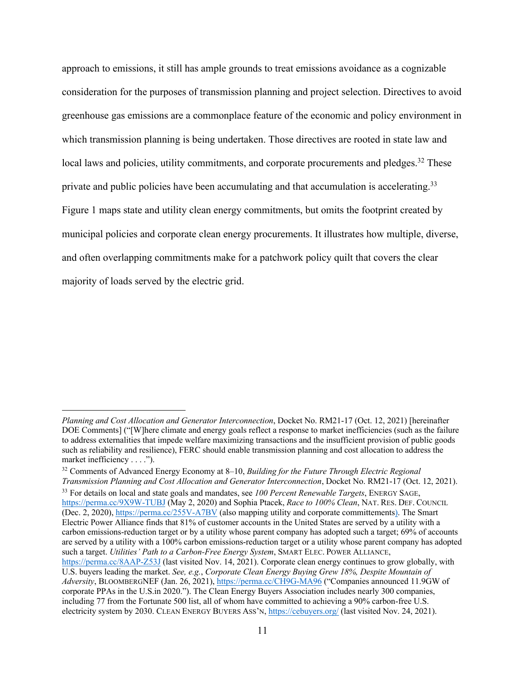approach to emissions, it still has ample grounds to treat emissions avoidance as a cognizable consideration for the purposes of transmission planning and project selection. Directives to avoid greenhouse gas emissions are a commonplace feature of the economic and policy environment in which transmission planning is being undertaken. Those directives are rooted in state law and local laws and policies, utility commitments, and corporate procurements and pledges.<sup>32</sup> These private and public policies have been accumulating and that accumulation is accelerating.<sup>33</sup> Figure 1 maps state and utility clean energy commitments, but omits the footprint created by municipal policies and corporate clean energy procurements. It illustrates how multiple, diverse, and often overlapping commitments make for a patchwork policy quilt that covers the clear majority of loads served by the electric grid.

*Planning and Cost Allocation and Generator Interconnection*, Docket No. RM21-17 (Oct. 12, 2021) [hereinafter DOE Comments] ("[W]here climate and energy goals reflect a response to market inefficiencies (such as the failure to address externalities that impede welfare maximizing transactions and the insufficient provision of public goods such as reliability and resilience), FERC should enable transmission planning and cost allocation to address the market inefficiency . . . .").

<sup>32</sup> Comments of Advanced Energy Economy at 8–10, *Building for the Future Through Electric Regional Transmission Planning and Cost Allocation and Generator Interconnection*, Docket No. RM21-17 (Oct. 12, 2021). <sup>33</sup> For details on local and state goals and mandates, see *100 Percent Renewable Targets*, ENERGY SAGE, https://perma.cc/9X9W-TUBJ (May 2, 2020) and Sophia Ptacek, *Race to 100% Clean*, NAT. RES. DEF. COUNCIL (Dec. 2, 2020), https://perma.cc/255V-A7BV (also mapping utility and corporate committements). The Smart Electric Power Alliance finds that 81% of customer accounts in the United States are served by a utility with a carbon emissions-reduction target or by a utility whose parent company has adopted such a target; 69% of accounts are served by a utility with a 100% carbon emissions-reduction target or a utility whose parent company has adopted such a target. *Utilities' Path to a Carbon-Free Energy System*, SMART ELEC. POWER ALLIANCE,

https://perma.cc/8AAP-Z53J (last visited Nov. 14, 2021). Corporate clean energy continues to grow globally, with U.S. buyers leading the market. *See, e.g.*, *Corporate Clean Energy Buying Grew 18%, Despite Mountain of Adversity*, BLOOMBERGNEF (Jan. 26, 2021), https://perma.cc/CH9G-MA96 ("Companies announced 11.9GW of corporate PPAs in the U.S.in 2020."). The Clean Energy Buyers Association includes nearly 300 companies, including 77 from the Fortunate 500 list, all of whom have committed to achieving a 90% carbon-free U.S. electricity system by 2030. CLEAN ENERGY BUYERS ASS'N, https://cebuyers.org/ (last visited Nov. 24, 2021).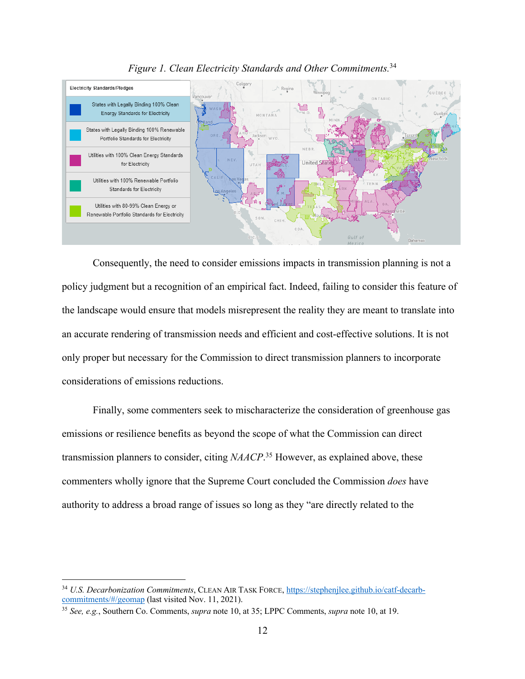

*Figure 1. Clean Electricity Standards and Other Commitments.*<sup>34</sup>

Consequently, the need to consider emissions impacts in transmission planning is not a policy judgment but a recognition of an empirical fact. Indeed, failing to consider this feature of the landscape would ensure that models misrepresent the reality they are meant to translate into an accurate rendering of transmission needs and efficient and cost-effective solutions. It is not only proper but necessary for the Commission to direct transmission planners to incorporate considerations of emissions reductions.

Finally, some commenters seek to mischaracterize the consideration of greenhouse gas emissions or resilience benefits as beyond the scope of what the Commission can direct transmission planners to consider, citing *NAACP*. <sup>35</sup> However, as explained above, these commenters wholly ignore that the Supreme Court concluded the Commission *does* have authority to address a broad range of issues so long as they "are directly related to the

<sup>34</sup> *U.S. Decarbonization Commitments*, CLEAN AIR TASK FORCE, https://stephenjlee.github.io/catf-decarbcommitments/#/geomap (last visited Nov. 11, 2021).

<sup>35</sup> *See, e.g.*, Southern Co. Comments, *supra* note 10, at 35; LPPC Comments, *supra* note 10, at 19.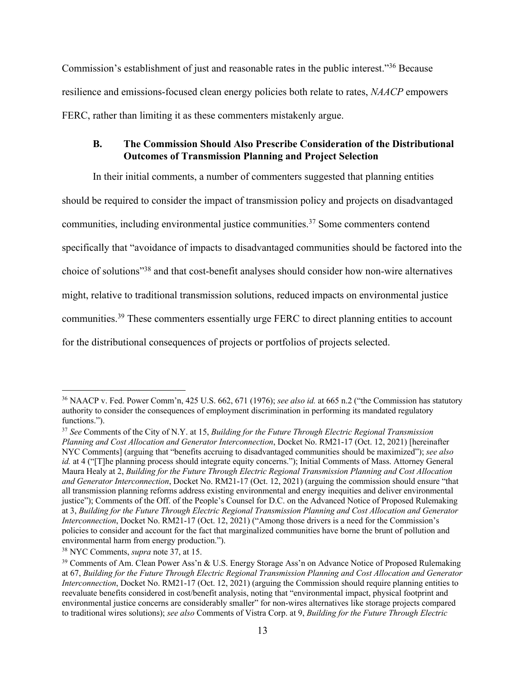Commission's establishment of just and reasonable rates in the public interest."36 Because resilience and emissions-focused clean energy policies both relate to rates, *NAACP* empowers FERC, rather than limiting it as these commenters mistakenly argue.

## **B. The Commission Should Also Prescribe Consideration of the Distributional Outcomes of Transmission Planning and Project Selection**

In their initial comments, a number of commenters suggested that planning entities

should be required to consider the impact of transmission policy and projects on disadvantaged

communities, including environmental justice communities.37 Some commenters contend

specifically that "avoidance of impacts to disadvantaged communities should be factored into the

choice of solutions"38 and that cost-benefit analyses should consider how non-wire alternatives

might, relative to traditional transmission solutions, reduced impacts on environmental justice

communities.39 These commenters essentially urge FERC to direct planning entities to account

for the distributional consequences of projects or portfolios of projects selected.

<sup>36</sup> NAACP v. Fed. Power Comm'n, 425 U.S. 662, 671 (1976); *see also id.* at 665 n.2 ("the Commission has statutory authority to consider the consequences of employment discrimination in performing its mandated regulatory functions.").

<sup>37</sup> *See* Comments of the City of N.Y. at 15, *Building for the Future Through Electric Regional Transmission Planning and Cost Allocation and Generator Interconnection*, Docket No. RM21-17 (Oct. 12, 2021) [hereinafter NYC Comments] (arguing that "benefits accruing to disadvantaged communities should be maximized"); *see also id.* at 4 ("[T]he planning process should integrate equity concerns."); Initial Comments of Mass. Attorney General Maura Healy at 2, *Building for the Future Through Electric Regional Transmission Planning and Cost Allocation and Generator Interconnection*, Docket No. RM21-17 (Oct. 12, 2021) (arguing the commission should ensure "that all transmission planning reforms address existing environmental and energy inequities and deliver environmental justice"); Comments of the Off. of the People's Counsel for D.C. on the Advanced Notice of Proposed Rulemaking at 3, *Building for the Future Through Electric Regional Transmission Planning and Cost Allocation and Generator Interconnection*, Docket No. RM21-17 (Oct. 12, 2021) ("Among those drivers is a need for the Commission's policies to consider and account for the fact that marginalized communities have borne the brunt of pollution and environmental harm from energy production.").

<sup>38</sup> NYC Comments, *supra* note 37, at 15.

<sup>&</sup>lt;sup>39</sup> Comments of Am. Clean Power Ass'n & U.S. Energy Storage Ass'n on Advance Notice of Proposed Rulemaking at 67, *Building for the Future Through Electric Regional Transmission Planning and Cost Allocation and Generator Interconnection*, Docket No. RM21-17 (Oct. 12, 2021) (arguing the Commission should require planning entities to reevaluate benefits considered in cost/benefit analysis, noting that "environmental impact, physical footprint and environmental justice concerns are considerably smaller" for non-wires alternatives like storage projects compared to traditional wires solutions); *see also* Comments of Vistra Corp. at 9, *Building for the Future Through Electric*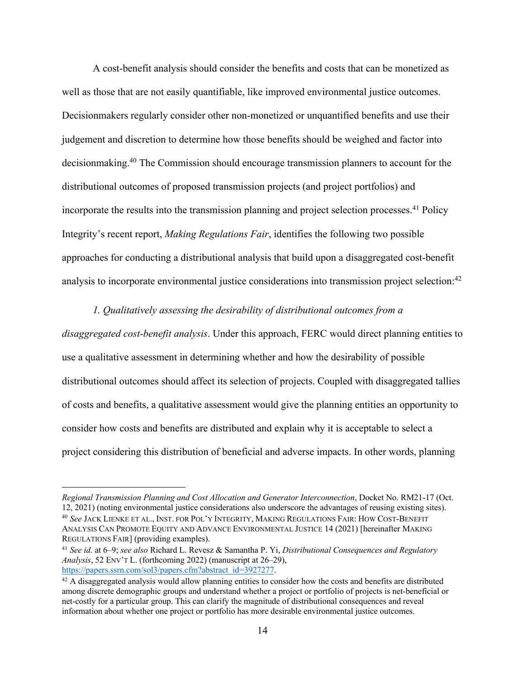A cost-benefit analysis should consider the benefits and costs that can be monetized as well as those that are not easily quantifiable, like improved environmental justice outcomes. Decisionmakers regularly consider other non-monetized or unquantified benefits and use their judgement and discretion to determine how those benefits should be weighed and factor into decisionmaking.40 The Commission should encourage transmission planners to account for the distributional outcomes of proposed transmission projects (and project portfolios) and incorporate the results into the transmission planning and project selection processes.<sup>41</sup> Policy Integrity's recent report, *Making Regulations Fair*, identifies the following two possible approaches for conducting a distributional analysis that build upon a disaggregated cost-benefit analysis to incorporate environmental justice considerations into transmission project selection: 42

#### *1. Qualitatively assessing the desirability of distributional outcomes from a*

*disaggregated cost-benefit analysis*. Under this approach, FERC would direct planning entities to use a qualitative assessment in determining whether and how the desirability of possible distributional outcomes should affect its selection of projects. Coupled with disaggregated tallies of costs and benefits, a qualitative assessment would give the planning entities an opportunity to consider how costs and benefits are distributed and explain why it is acceptable to select a project considering this distribution of beneficial and adverse impacts. In other words, planning

*Regional Transmission Planning and Cost Allocation and Generator Interconnection*, Docket No. RM21-17 (Oct. 12, 2021) (noting environmental justice considerations also underscore the advantages of reusing existing sites). <sup>40</sup> *See* JACK LIENKE ET AL., INST. FOR POL'Y INTEGRITY, MAKING REGULATIONS FAIR: HOW COST-BENEFIT ANALYSIS CAN PROMOTE EQUITY AND ADVANCE ENVIRONMENTAL JUSTICE 14 (2021) [hereinafter MAKING REGULATIONS FAIR] (providing examples).

<sup>41</sup> *See id.* at 6–9; *see also* Richard L. Revesz & Samantha P. Yi, *Distributional Consequences and Regulatory Analysis*, 52 ENV'T L. (forthcoming 2022) (manuscript at 26–29),

 $42$  A disaggregated analysis would allow planning entities to consider how the costs and benefits are distributed among discrete demographic groups and understand whether a project or portfolio of projects is net-beneficial or net-costly for a particular group. This can clarify the magnitude of distributional consequences and reveal information about whether one project or portfolio has more desirable environmental justice outcomes.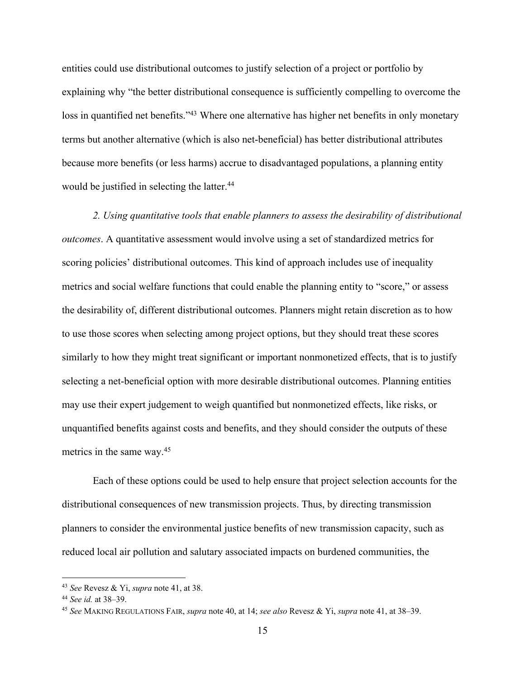entities could use distributional outcomes to justify selection of a project or portfolio by explaining why "the better distributional consequence is sufficiently compelling to overcome the loss in quantified net benefits."<sup>43</sup> Where one alternative has higher net benefits in only monetary terms but another alternative (which is also net-beneficial) has better distributional attributes because more benefits (or less harms) accrue to disadvantaged populations, a planning entity would be justified in selecting the latter.<sup>44</sup>

*2. Using quantitative tools that enable planners to assess the desirability of distributional outcomes*. A quantitative assessment would involve using a set of standardized metrics for scoring policies' distributional outcomes. This kind of approach includes use of inequality metrics and social welfare functions that could enable the planning entity to "score," or assess the desirability of, different distributional outcomes. Planners might retain discretion as to how to use those scores when selecting among project options, but they should treat these scores similarly to how they might treat significant or important nonmonetized effects, that is to justify selecting a net-beneficial option with more desirable distributional outcomes. Planning entities may use their expert judgement to weigh quantified but nonmonetized effects, like risks, or unquantified benefits against costs and benefits, and they should consider the outputs of these metrics in the same way.45

Each of these options could be used to help ensure that project selection accounts for the distributional consequences of new transmission projects. Thus, by directing transmission planners to consider the environmental justice benefits of new transmission capacity, such as reduced local air pollution and salutary associated impacts on burdened communities, the

<sup>43</sup> *See* Revesz & Yi, *supra* note 41, at 38.

<sup>44</sup> *See id.* at 38–39.

<sup>45</sup> *See* MAKING REGULATIONS FAIR, *supra* note 40, at 14; *see also* Revesz & Yi, *supra* note 41, at 38–39.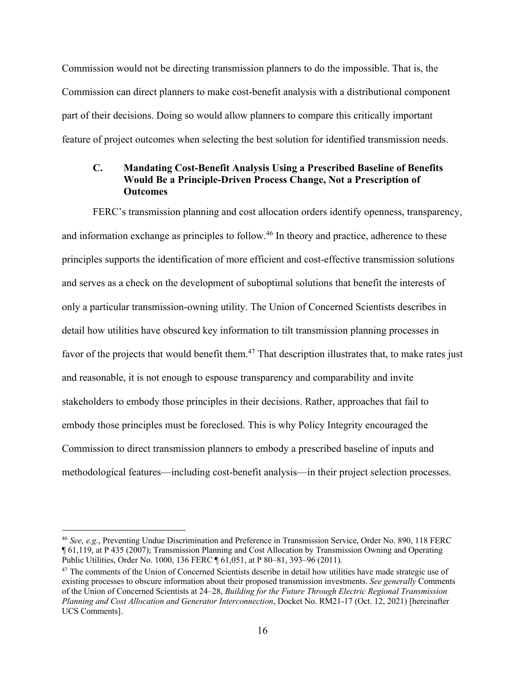Commission would not be directing transmission planners to do the impossible. That is, the Commission can direct planners to make cost-benefit analysis with a distributional component part of their decisions. Doing so would allow planners to compare this critically important feature of project outcomes when selecting the best solution for identified transmission needs.

## **C. Mandating Cost-Benefit Analysis Using a Prescribed Baseline of Benefits Would Be a Principle-Driven Process Change, Not a Prescription of Outcomes**

FERC's transmission planning and cost allocation orders identify openness, transparency, and information exchange as principles to follow.<sup>46</sup> In theory and practice, adherence to these principles supports the identification of more efficient and cost-effective transmission solutions and serves as a check on the development of suboptimal solutions that benefit the interests of only a particular transmission-owning utility. The Union of Concerned Scientists describes in detail how utilities have obscured key information to tilt transmission planning processes in favor of the projects that would benefit them.<sup>47</sup> That description illustrates that, to make rates just and reasonable, it is not enough to espouse transparency and comparability and invite stakeholders to embody those principles in their decisions. Rather, approaches that fail to embody those principles must be foreclosed. This is why Policy Integrity encouraged the Commission to direct transmission planners to embody a prescribed baseline of inputs and methodological features—including cost-benefit analysis—in their project selection processes.

<sup>46</sup> *See, e.g.*, Preventing Undue Discrimination and Preference in Transmission Service, Order No. 890, 118 FERC ¶ 61,119, at P 435 (2007); Transmission Planning and Cost Allocation by Transmission Owning and Operating Public Utilities, Order No. 1000, 136 FERC ¶ 61,051, at P 80–81, 393–96 (2011).

<sup>&</sup>lt;sup>47</sup> The comments of the Union of Concerned Scientists describe in detail how utilities have made strategic use of existing processes to obscure information about their proposed transmission investments. *See generally* Comments of the Union of Concerned Scientists at 24–28, *Building for the Future Through Electric Regional Transmission Planning and Cost Allocation and Generator Interconnection*, Docket No. RM21-17 (Oct. 12, 2021) [hereinafter UCS Comments].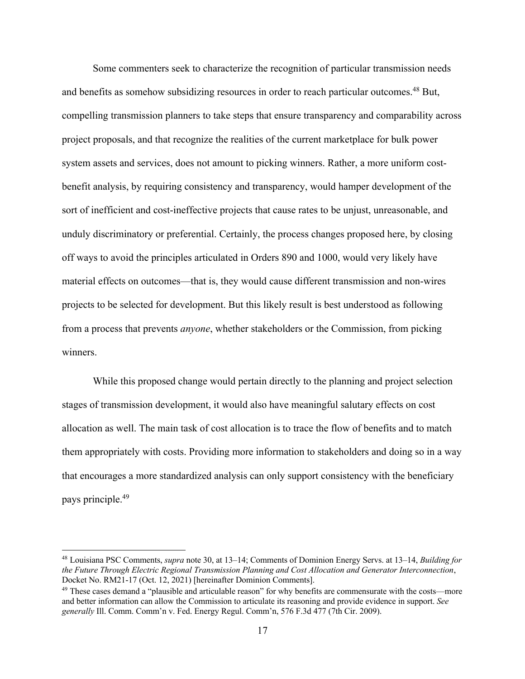Some commenters seek to characterize the recognition of particular transmission needs and benefits as somehow subsidizing resources in order to reach particular outcomes.<sup>48</sup> But, compelling transmission planners to take steps that ensure transparency and comparability across project proposals, and that recognize the realities of the current marketplace for bulk power system assets and services, does not amount to picking winners. Rather, a more uniform costbenefit analysis, by requiring consistency and transparency, would hamper development of the sort of inefficient and cost-ineffective projects that cause rates to be unjust, unreasonable, and unduly discriminatory or preferential. Certainly, the process changes proposed here, by closing off ways to avoid the principles articulated in Orders 890 and 1000, would very likely have material effects on outcomes—that is, they would cause different transmission and non-wires projects to be selected for development. But this likely result is best understood as following from a process that prevents *anyone*, whether stakeholders or the Commission, from picking winners.

While this proposed change would pertain directly to the planning and project selection stages of transmission development, it would also have meaningful salutary effects on cost allocation as well. The main task of cost allocation is to trace the flow of benefits and to match them appropriately with costs. Providing more information to stakeholders and doing so in a way that encourages a more standardized analysis can only support consistency with the beneficiary pays principle.49

<sup>48</sup> Louisiana PSC Comments, *supra* note 30, at 13–14; Comments of Dominion Energy Servs. at 13–14, *Building for the Future Through Electric Regional Transmission Planning and Cost Allocation and Generator Interconnection*,

<sup>&</sup>lt;sup>49</sup> These cases demand a "plausible and articulable reason" for why benefits are commensurate with the costs—more and better information can allow the Commission to articulate its reasoning and provide evidence in support. *See generally* Ill. Comm. Comm'n v. Fed. Energy Regul. Comm'n, 576 F.3d 477 (7th Cir. 2009).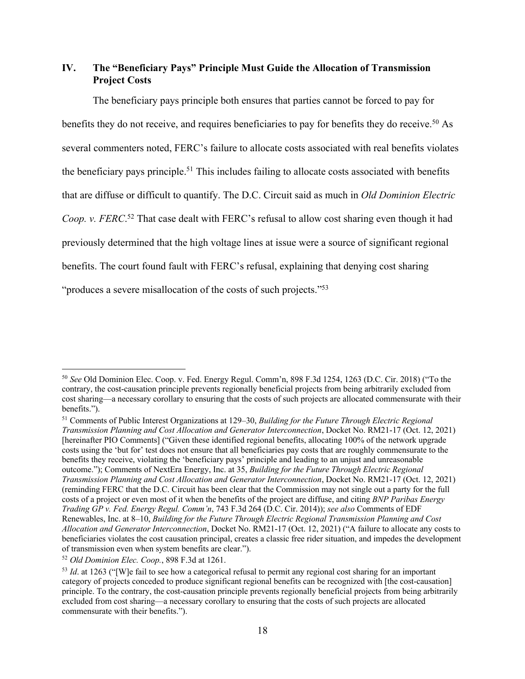## **IV. The "Beneficiary Pays" Principle Must Guide the Allocation of Transmission Project Costs**

The beneficiary pays principle both ensures that parties cannot be forced to pay for benefits they do not receive, and requires beneficiaries to pay for benefits they do receive.<sup>50</sup> As several commenters noted, FERC's failure to allocate costs associated with real benefits violates the beneficiary pays principle.<sup>51</sup> This includes failing to allocate costs associated with benefits that are diffuse or difficult to quantify. The D.C. Circuit said as much in *Old Dominion Electric Coop. v. FERC*. <sup>52</sup> That case dealt with FERC's refusal to allow cost sharing even though it had previously determined that the high voltage lines at issue were a source of significant regional benefits. The court found fault with FERC's refusal, explaining that denying cost sharing "produces a severe misallocation of the costs of such projects."<sup>53</sup>

<sup>52</sup> *Old Dominion Elec. Coop.*, 898 F.3d at 1261.

<sup>50</sup> *See* Old Dominion Elec. Coop. v. Fed. Energy Regul. Comm'n, 898 F.3d 1254, 1263 (D.C. Cir. 2018) ("To the contrary, the cost-causation principle prevents regionally beneficial projects from being arbitrarily excluded from cost sharing—a necessary corollary to ensuring that the costs of such projects are allocated commensurate with their benefits.").

<sup>51</sup> Comments of Public Interest Organizations at 129–30, *Building for the Future Through Electric Regional Transmission Planning and Cost Allocation and Generator Interconnection*, Docket No. RM21-17 (Oct. 12, 2021) [hereinafter PIO Comments] ("Given these identified regional benefits, allocating 100% of the network upgrade costs using the 'but for' test does not ensure that all beneficiaries pay costs that are roughly commensurate to the benefits they receive, violating the 'beneficiary pays' principle and leading to an unjust and unreasonable outcome."); Comments of NextEra Energy, Inc. at 35, *Building for the Future Through Electric Regional Transmission Planning and Cost Allocation and Generator Interconnection*, Docket No. RM21-17 (Oct. 12, 2021) (reminding FERC that the D.C. Circuit has been clear that the Commission may not single out a party for the full costs of a project or even most of it when the benefits of the project are diffuse, and citing *BNP Paribas Energy Trading GP v. Fed. Energy Regul. Comm'n*, 743 F.3d 264 (D.C. Cir. 2014)); *see also* Comments of EDF Renewables, Inc. at 8–10, *Building for the Future Through Electric Regional Transmission Planning and Cost Allocation and Generator Interconnection*, Docket No. RM21-17 (Oct. 12, 2021) ("A failure to allocate any costs to beneficiaries violates the cost causation principal, creates a classic free rider situation, and impedes the development of transmission even when system benefits are clear.").

<sup>&</sup>lt;sup>53</sup> *Id.* at 1263 ("[W]e fail to see how a categorical refusal to permit any regional cost sharing for an important category of projects conceded to produce significant regional benefits can be recognized with [the cost-causation] principle. To the contrary, the cost-causation principle prevents regionally beneficial projects from being arbitrarily excluded from cost sharing—a necessary corollary to ensuring that the costs of such projects are allocated commensurate with their benefits.").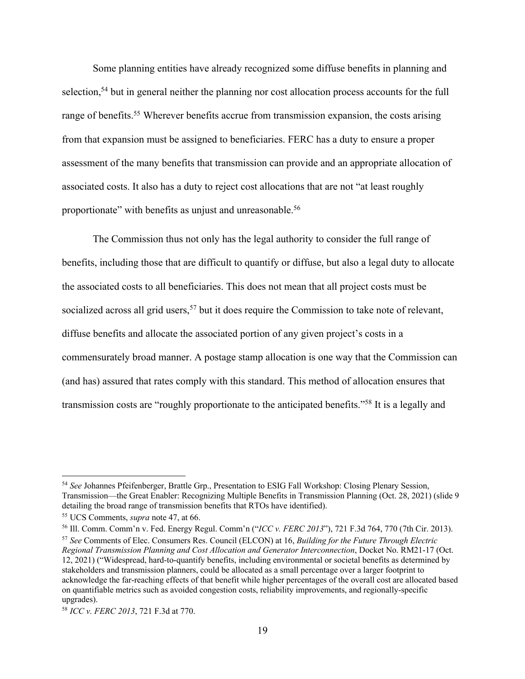Some planning entities have already recognized some diffuse benefits in planning and selection,<sup>54</sup> but in general neither the planning nor cost allocation process accounts for the full range of benefits.<sup>55</sup> Wherever benefits accrue from transmission expansion, the costs arising from that expansion must be assigned to beneficiaries. FERC has a duty to ensure a proper assessment of the many benefits that transmission can provide and an appropriate allocation of associated costs. It also has a duty to reject cost allocations that are not "at least roughly proportionate" with benefits as unjust and unreasonable.<sup>56</sup>

The Commission thus not only has the legal authority to consider the full range of benefits, including those that are difficult to quantify or diffuse, but also a legal duty to allocate the associated costs to all beneficiaries. This does not mean that all project costs must be socialized across all grid users,  $57$  but it does require the Commission to take note of relevant, diffuse benefits and allocate the associated portion of any given project's costs in a commensurately broad manner. A postage stamp allocation is one way that the Commission can (and has) assured that rates comply with this standard. This method of allocation ensures that transmission costs are "roughly proportionate to the anticipated benefits."58 It is a legally and

<sup>54</sup> *See* Johannes Pfeifenberger, Brattle Grp., Presentation to ESIG Fall Workshop: Closing Plenary Session, Transmission—the Great Enabler: Recognizing Multiple Benefits in Transmission Planning (Oct. 28, 2021) (slide 9 detailing the broad range of transmission benefits that RTOs have identified).

<sup>55</sup> UCS Comments, *supra* note 47, at 66.

<sup>56</sup> Ill. Comm. Comm'n v. Fed. Energy Regul. Comm'n ("*ICC v. FERC 2013*"), 721 F.3d 764, 770 (7th Cir. 2013).

<sup>57</sup> *See* Comments of Elec. Consumers Res. Council (ELCON) at 16, *Building for the Future Through Electric Regional Transmission Planning and Cost Allocation and Generator Interconnection*, Docket No. RM21-17 (Oct. 12, 2021) ("Widespread, hard-to-quantify benefits, including environmental or societal benefits as determined by stakeholders and transmission planners, could be allocated as a small percentage over a larger footprint to acknowledge the far-reaching effects of that benefit while higher percentages of the overall cost are allocated based on quantifiable metrics such as avoided congestion costs, reliability improvements, and regionally-specific upgrades).

<sup>58</sup> *ICC v. FERC 2013*, 721 F.3d at 770.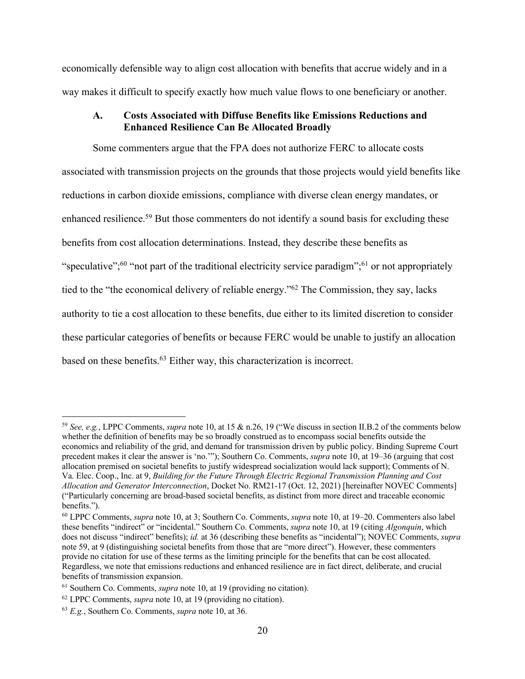economically defensible way to align cost allocation with benefits that accrue widely and in a way makes it difficult to specify exactly how much value flows to one beneficiary or another.

## **A. Costs Associated with Diffuse Benefits like Emissions Reductions and Enhanced Resilience Can Be Allocated Broadly**

Some commenters argue that the FPA does not authorize FERC to allocate costs associated with transmission projects on the grounds that those projects would yield benefits like reductions in carbon dioxide emissions, compliance with diverse clean energy mandates, or enhanced resilience.<sup>59</sup> But those commenters do not identify a sound basis for excluding these benefits from cost allocation determinations. Instead, they describe these benefits as "speculative";<sup>60</sup> "not part of the traditional electricity service paradigm";<sup>61</sup> or not appropriately tied to the "the economical delivery of reliable energy."62 The Commission, they say, lacks authority to tie a cost allocation to these benefits, due either to its limited discretion to consider these particular categories of benefits or because FERC would be unable to justify an allocation based on these benefits.63 Either way, this characterization is incorrect.

<sup>59</sup> *See, e.g.*, LPPC Comments, *supra* note 10, at 15 & n.26, 19 ("We discuss in section II.B.2 of the comments below whether the definition of benefits may be so broadly construed as to encompass social benefits outside the economics and reliability of the grid, and demand for transmission driven by public policy. Binding Supreme Court precedent makes it clear the answer is 'no.'"); Southern Co. Comments, *supra* note 10, at 19–36 (arguing that cost allocation premised on societal benefits to justify widespread socialization would lack support); Comments of N. Va. Elec. Coop., Inc. at 9, *Building for the Future Through Electric Regional Transmission Planning and Cost Allocation and Generator Interconnection*, Docket No. RM21-17 (Oct. 12, 2021) [hereinafter NOVEC Comments] ("Particularly concerning are broad-based societal benefits, as distinct from more direct and traceable economic benefits.").

<sup>60</sup> LPPC Comments, *supra* note 10, at 3; Southern Co. Comments, *supra* note 10, at 19–20. Commenters also label these benefits "indirect" or "incidental." Southern Co. Comments, *supra* note 10, at 19 (citing *Algonquin*, which does not discuss "indirect" benefits); *id.* at 36 (describing these benefits as "incidental"); NOVEC Comments, *supra* note 59, at 9 (distinguishing societal benefits from those that are "more direct"). However, these commenters provide no citation for use of these terms as the limiting principle for the benefits that can be cost allocated. Regardless, we note that emissions reductions and enhanced resilience are in fact direct, deliberate, and crucial benefits of transmission expansion.

<sup>61</sup> Southern Co. Comments, *supra* note 10, at 19 (providing no citation).

<sup>62</sup> LPPC Comments, *supra* note 10, at 19 (providing no citation).

<sup>63</sup> *E.g.*, Southern Co. Comments, *supra* note 10, at 36.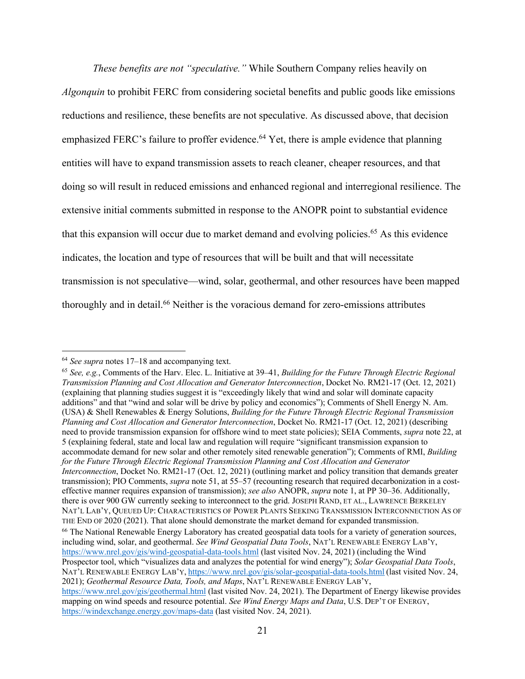*These benefits are not "speculative."* While Southern Company relies heavily on *Algonquin* to prohibit FERC from considering societal benefits and public goods like emissions reductions and resilience, these benefits are not speculative. As discussed above, that decision emphasized FERC's failure to proffer evidence.<sup>64</sup> Yet, there is ample evidence that planning entities will have to expand transmission assets to reach cleaner, cheaper resources, and that doing so will result in reduced emissions and enhanced regional and interregional resilience. The extensive initial comments submitted in response to the ANOPR point to substantial evidence that this expansion will occur due to market demand and evolving policies.<sup>65</sup> As this evidence indicates, the location and type of resources that will be built and that will necessitate transmission is not speculative—wind, solar, geothermal, and other resources have been mapped thoroughly and in detail. <sup>66</sup> Neither is the voracious demand for zero-emissions attributes

<sup>64</sup> *See supra* notes 17–18 and accompanying text.

<sup>65</sup> *See, e.g.*, Comments of the Harv. Elec. L. Initiative at 39–41, *Building for the Future Through Electric Regional Transmission Planning and Cost Allocation and Generator Interconnection*, Docket No. RM21-17 (Oct. 12, 2021) (explaining that planning studies suggest it is "exceedingly likely that wind and solar will dominate capacity additions" and that "wind and solar will be drive by policy and economics"); Comments of Shell Energy N. Am. (USA) & Shell Renewables & Energy Solutions, *Building for the Future Through Electric Regional Transmission Planning and Cost Allocation and Generator Interconnection*, Docket No. RM21-17 (Oct. 12, 2021) (describing need to provide transmission expansion for offshore wind to meet state policies); SEIA Comments, *supra* note 22, at 5 (explaining federal, state and local law and regulation will require "significant transmission expansion to accommodate demand for new solar and other remotely sited renewable generation"); Comments of RMI, *Building for the Future Through Electric Regional Transmission Planning and Cost Allocation and Generator Interconnection*, Docket No. RM21-17 (Oct. 12, 2021) (outlining market and policy transition that demands greater transmission); PIO Comments, *supra* note 51, at 55–57 (recounting research that required decarbonization in a costeffective manner requires expansion of transmission); *see also* ANOPR, *supra* note 1, at PP 30–36. Additionally, there is over 900 GW currently seeking to interconnect to the grid. JOSEPH RAND, ET AL., LAWRENCE BERKELEY NAT'L LAB'Y, QUEUED UP: CHARACTERISTICS OF POWER PLANTS SEEKING TRANSMISSION INTERCONNECTION AS OF THE END OF 2020 (2021). That alone should demonstrate the market demand for expanded transmission. <sup>66</sup> The National Renewable Energy Laboratory has created geospatial data tools for a variety of generation sources, including wind, solar, and geothermal. *See Wind Geospatial Data Tools*, NAT'L RENEWABLE ENERGY LAB'Y, https://www.nrel.gov/gis/wind-geospatial-data-tools.html (last visited Nov. 24, 2021) (including the Wind Prospector tool, which "visualizes data and analyzes the potential for wind energy"); *Solar Geospatial Data Tools*, NAT'L RENEWABLE ENERGY LAB'Y, https://www.nrel.gov/gis/solar-geospatial-data-tools.html (last visited Nov. 24, 2021); *Geothermal Resource Data, Tools, and Maps*, NAT'L RENEWABLE ENERGY LAB'Y, https://www.nrel.gov/gis/geothermal.html (last visited Nov. 24, 2021). The Department of Energy likewise provides mapping on wind speeds and resource potential. *See Wind Energy Maps and Data*, U.S. DEP'T OF ENERGY, https://windexchange.energy.gov/maps-data (last visited Nov. 24, 2021).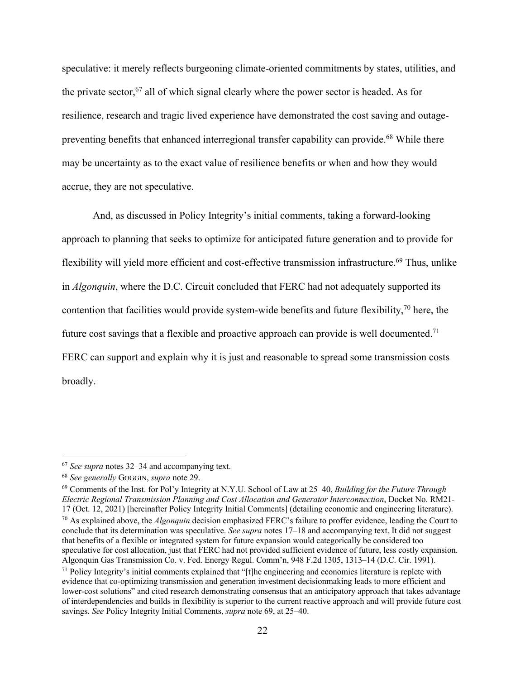speculative: it merely reflects burgeoning climate-oriented commitments by states, utilities, and the private sector, <sup>67</sup> all of which signal clearly where the power sector is headed. As for resilience, research and tragic lived experience have demonstrated the cost saving and outagepreventing benefits that enhanced interregional transfer capability can provide.<sup>68</sup> While there may be uncertainty as to the exact value of resilience benefits or when and how they would accrue, they are not speculative.

And, as discussed in Policy Integrity's initial comments, taking a forward-looking approach to planning that seeks to optimize for anticipated future generation and to provide for flexibility will yield more efficient and cost-effective transmission infrastructure.<sup>69</sup> Thus, unlike in *Algonquin*, where the D.C. Circuit concluded that FERC had not adequately supported its contention that facilities would provide system-wide benefits and future flexibility,<sup>70</sup> here, the future cost savings that a flexible and proactive approach can provide is well documented.<sup>71</sup> FERC can support and explain why it is just and reasonable to spread some transmission costs broadly.

<sup>67</sup> *See supra* notes 32–34 and accompanying text.

<sup>68</sup> *See generally* GOGGIN, *supra* note 29.

<sup>69</sup> Comments of the Inst. for Pol'y Integrity at N.Y.U. School of Law at 25–40, *Building for the Future Through Electric Regional Transmission Planning and Cost Allocation and Generator Interconnection*, Docket No. RM21- 17 (Oct. 12, 2021) [hereinafter Policy Integrity Initial Comments] (detailing economic and engineering literature). <sup>70</sup> As explained above, the *Algonquin* decision emphasized FERC's failure to proffer evidence, leading the Court to conclude that its determination was speculative. *See supra* notes 17–18 and accompanying text. It did not suggest that benefits of a flexible or integrated system for future expansion would categorically be considered too speculative for cost allocation, just that FERC had not provided sufficient evidence of future, less costly expansion. Algonquin Gas Transmission Co. v. Fed. Energy Regul. Comm'n, 948 F.2d 1305, 1313–14 (D.C. Cir. 1991).  $71$  Policy Integrity's initial comments explained that "[t]he engineering and economics literature is replete with evidence that co-optimizing transmission and generation investment decisionmaking leads to more efficient and lower-cost solutions" and cited research demonstrating consensus that an anticipatory approach that takes advantage of interdependencies and builds in flexibility is superior to the current reactive approach and will provide future cost savings. *See* Policy Integrity Initial Comments, *supra* note 69, at 25–40.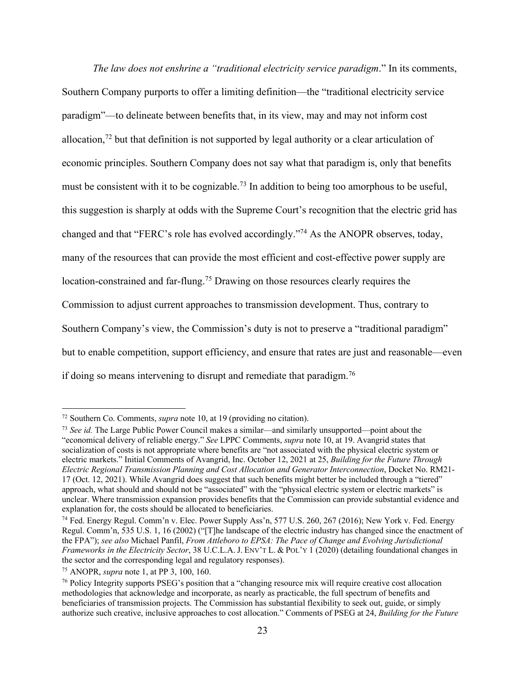*The law does not enshrine a "traditional electricity service paradigm*." In its comments, Southern Company purports to offer a limiting definition—the "traditional electricity service paradigm"—to delineate between benefits that, in its view, may and may not inform cost allocation,<sup>72</sup> but that definition is not supported by legal authority or a clear articulation of economic principles. Southern Company does not say what that paradigm is, only that benefits must be consistent with it to be cognizable.<sup>73</sup> In addition to being too amorphous to be useful, this suggestion is sharply at odds with the Supreme Court's recognition that the electric grid has changed and that "FERC's role has evolved accordingly."74 As the ANOPR observes, today, many of the resources that can provide the most efficient and cost-effective power supply are location-constrained and far-flung.75 Drawing on those resources clearly requires the Commission to adjust current approaches to transmission development. Thus, contrary to Southern Company's view, the Commission's duty is not to preserve a "traditional paradigm" but to enable competition, support efficiency, and ensure that rates are just and reasonable—even if doing so means intervening to disrupt and remediate that paradigm.76

<sup>72</sup> Southern Co. Comments, *supra* note 10, at 19 (providing no citation).

<sup>73</sup> *See id.* The Large Public Power Council makes a similar—and similarly unsupported—point about the "economical delivery of reliable energy." *See* LPPC Comments, *supra* note 10, at 19. Avangrid states that socialization of costs is not appropriate where benefits are "not associated with the physical electric system or electric markets." Initial Comments of Avangrid, Inc. October 12, 2021 at 25, *Building for the Future Through Electric Regional Transmission Planning and Cost Allocation and Generator Interconnection*, Docket No. RM21- 17 (Oct. 12, 2021). While Avangrid does suggest that such benefits might better be included through a "tiered" approach, what should and should not be "associated" with the "physical electric system or electric markets" is unclear. Where transmission expansion provides benefits that the Commission can provide substantial evidence and explanation for, the costs should be allocated to beneficiaries.

<sup>74</sup> Fed. Energy Regul. Comm'n v. Elec. Power Supply Ass'n, 577 U.S. 260, 267 (2016); New York v. Fed. Energy Regul. Comm'n, 535 U.S. 1, 16 (2002) ("[T]he landscape of the electric industry has changed since the enactment of the FPA"); *see also* Michael Panfil, *From Attleboro to EPSA: The Pace of Change and Evolving Jurisdictional Frameworks in the Electricity Sector*, 38 U.C.L.A. J. ENV'T L. & POL'Y 1 (2020) (detailing foundational changes in the sector and the corresponding legal and regulatory responses).

<sup>75</sup> ANOPR, *supra* note 1, at PP 3, 100, 160.

<sup>&</sup>lt;sup>76</sup> Policy Integrity supports PSEG's position that a "changing resource mix will require creative cost allocation methodologies that acknowledge and incorporate, as nearly as practicable, the full spectrum of benefits and beneficiaries of transmission projects. The Commission has substantial flexibility to seek out, guide, or simply authorize such creative, inclusive approaches to cost allocation." Comments of PSEG at 24, *Building for the Future*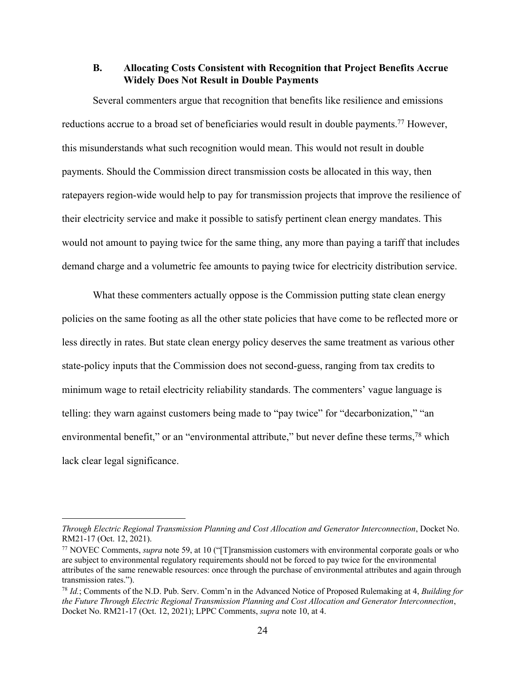## **B. Allocating Costs Consistent with Recognition that Project Benefits Accrue Widely Does Not Result in Double Payments**

Several commenters argue that recognition that benefits like resilience and emissions reductions accrue to a broad set of beneficiaries would result in double payments.<sup>77</sup> However, this misunderstands what such recognition would mean. This would not result in double payments. Should the Commission direct transmission costs be allocated in this way, then ratepayers region-wide would help to pay for transmission projects that improve the resilience of their electricity service and make it possible to satisfy pertinent clean energy mandates. This would not amount to paying twice for the same thing, any more than paying a tariff that includes demand charge and a volumetric fee amounts to paying twice for electricity distribution service.

What these commenters actually oppose is the Commission putting state clean energy policies on the same footing as all the other state policies that have come to be reflected more or less directly in rates. But state clean energy policy deserves the same treatment as various other state-policy inputs that the Commission does not second-guess, ranging from tax credits to minimum wage to retail electricity reliability standards. The commenters' vague language is telling: they warn against customers being made to "pay twice" for "decarbonization," "an environmental benefit," or an "environmental attribute," but never define these terms,<sup>78</sup> which lack clear legal significance.

*Through Electric Regional Transmission Planning and Cost Allocation and Generator Interconnection*, Docket No. RM21-17 (Oct. 12, 2021).<br><sup>77</sup> NOVEC Comments, *supra* note 59, at 10 ("[T]ransmission customers with environmental corporate goals or who

are subject to environmental regulatory requirements should not be forced to pay twice for the environmental attributes of the same renewable resources: once through the purchase of environmental attributes and again through transmission rates.").

<sup>78</sup> *Id.*; Comments of the N.D. Pub. Serv. Comm'n in the Advanced Notice of Proposed Rulemaking at 4, *Building for the Future Through Electric Regional Transmission Planning and Cost Allocation and Generator Interconnection*, Docket No. RM21-17 (Oct. 12, 2021); LPPC Comments, *supra* note 10, at 4.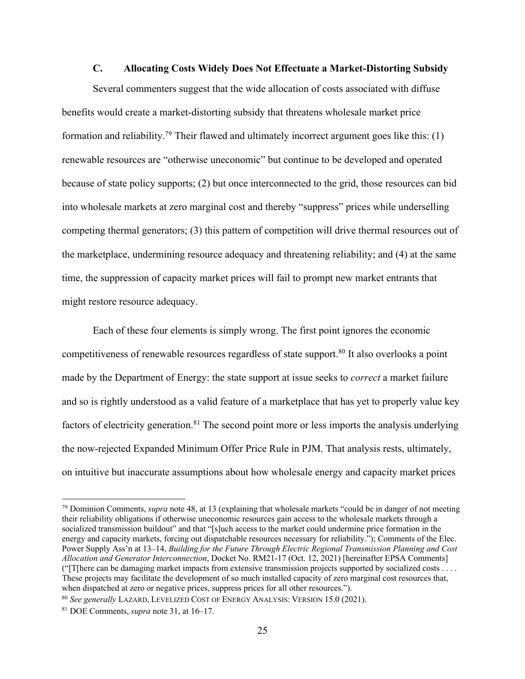### **C. Allocating Costs Widely Does Not Effectuate a Market-Distorting Subsidy**

Several commenters suggest that the wide allocation of costs associated with diffuse benefits would create a market-distorting subsidy that threatens wholesale market price formation and reliability.<sup>79</sup> Their flawed and ultimately incorrect argument goes like this:  $(1)$ renewable resources are "otherwise uneconomic" but continue to be developed and operated because of state policy supports; (2) but once interconnected to the grid, those resources can bid into wholesale markets at zero marginal cost and thereby "suppress" prices while underselling competing thermal generators; (3) this pattern of competition will drive thermal resources out of the marketplace, undermining resource adequacy and threatening reliability; and (4) at the same time, the suppression of capacity market prices will fail to prompt new market entrants that might restore resource adequacy.

Each of these four elements is simply wrong. The first point ignores the economic competitiveness of renewable resources regardless of state support.<sup>80</sup> It also overlooks a point made by the Department of Energy: the state support at issue seeks to *correct* a market failure and so is rightly understood as a valid feature of a marketplace that has yet to properly value key factors of electricity generation.<sup>81</sup> The second point more or less imports the analysis underlying the now-rejected Expanded Minimum Offer Price Rule in PJM. That analysis rests, ultimately, on intuitive but inaccurate assumptions about how wholesale energy and capacity market prices

<sup>79</sup> Dominion Comments, *supra* note 48, at 13 (explaining that wholesale markets "could be in danger of not meeting their reliability obligations if otherwise uneconomic resources gain access to the wholesale markets through a socialized transmission buildout" and that "[s]uch access to the market could undermine price formation in the energy and capacity markets, forcing out dispatchable resources necessary for reliability."); Comments of the Elec. Power Supply Ass'n at 13–14, *Building for the Future Through Electric Regional Transmission Planning and Cost Allocation and Generator Interconnection*, Docket No. RM21-17 (Oct. 12, 2021) [hereinafter EPSA Comments] ("[T[here can be damaging market impacts from extensive transmission projects supported by socialized costs . . . . These projects may facilitate the development of so much installed capacity of zero marginal cost resources that, when dispatched at zero or negative prices, suppress prices for all other resources.").

<sup>80</sup> *See generally* LAZARD, LEVELIZED COST OF ENERGY ANALYSIS: VERSION 15.0 (2021). 81 DOE Comments, *supra* note 31, at 16–17.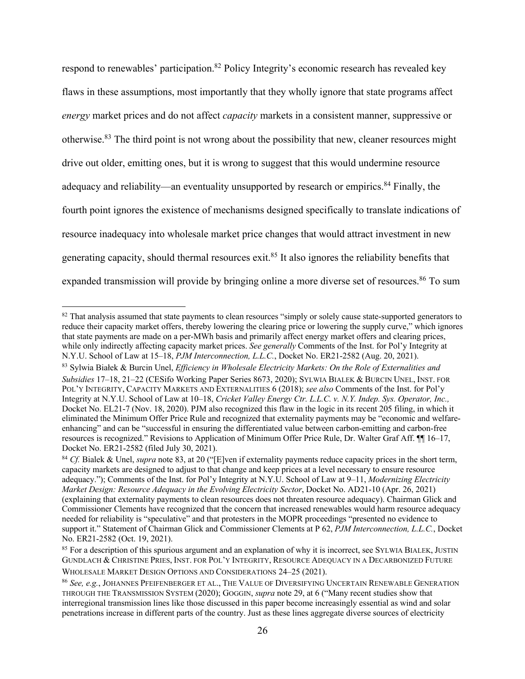respond to renewables' participation.<sup>82</sup> Policy Integrity's economic research has revealed key flaws in these assumptions, most importantly that they wholly ignore that state programs affect *energy* market prices and do not affect *capacity* markets in a consistent manner, suppressive or otherwise.<sup>83</sup> The third point is not wrong about the possibility that new, cleaner resources might drive out older, emitting ones, but it is wrong to suggest that this would undermine resource adequacy and reliability—an eventuality unsupported by research or empirics.<sup>84</sup> Finally, the fourth point ignores the existence of mechanisms designed specifically to translate indications of resource inadequacy into wholesale market price changes that would attract investment in new generating capacity, should thermal resources exit.85 It also ignores the reliability benefits that expanded transmission will provide by bringing online a more diverse set of resources.<sup>86</sup> To sum

<sup>&</sup>lt;sup>82</sup> That analysis assumed that state payments to clean resources "simply or solely cause state-supported generators to reduce their capacity market offers, thereby lowering the clearing price or lowering the supply curve," which ignores that state payments are made on a per-MWh basis and primarily affect energy market offers and clearing prices, while only indirectly affecting capacity market prices. *See generally* Comments of the Inst. for Pol'y Integrity at N.Y.U. School of Law at 15–18, *PJM Interconnection, L.L.C.*, Docket No. ER21-2582 (Aug. 20, 2021).

<sup>83</sup> Sylwia Białek & Burcin Unel, *Efficiency in Wholesale Electricity Markets: On the Role of Externalities and Subsidies* 17–18, 21–22 (CESifo Working Paper Series 8673, 2020); SYLWIA BIALEK & BURCIN UNEL, INST. FOR POL'Y INTEGRITY, CAPACITY MARKETS AND EXTERNALITIES 6 (2018); *see also* Comments of the Inst. for Pol'y Integrity at N.Y.U. School of Law at 10–18, *Cricket Valley Energy Ctr. L.L.C. v. N.Y. Indep. Sys. Operator, Inc.,* Docket No. EL21-7 (Nov. 18, 2020). PJM also recognized this flaw in the logic in its recent 205 filing, in which it eliminated the Minimum Offer Price Rule and recognized that externality payments may be "economic and welfareenhancing" and can be "successful in ensuring the differentiated value between carbon-emitting and carbon-free resources is recognized." Revisions to Application of Minimum Offer Price Rule, Dr. Walter Graf Aff. ¶¶ 16–17, Docket No. ER21-2582 (filed July 30, 2021).

<sup>84</sup> *Cf.* Bialek & Unel, *supra* note 83, at 20 ("[E]ven if externality payments reduce capacity prices in the short term, capacity markets are designed to adjust to that change and keep prices at a level necessary to ensure resource adequacy."); Comments of the Inst. for Pol'y Integrity at N.Y.U. School of Law at 9–11, *Modernizing Electricity Market Design: Resource Adequacy in the Evolving Electricity Sector*, Docket No. AD21-10 (Apr. 26, 2021) (explaining that externality payments to clean resources does not threaten resource adequacy). Chairman Glick and Commissioner Clements have recognized that the concern that increased renewables would harm resource adequacy needed for reliability is "speculative" and that protesters in the MOPR proceedings "presented no evidence to support it." Statement of Chairman Glick and Commissioner Clements at P 62, *PJM Interconnection, L.L.C.*, Docket No. ER21-2582 (Oct. 19, 2021).

<sup>&</sup>lt;sup>85</sup> For a description of this spurious argument and an explanation of why it is incorrect, see SYLWIA BIALEK, JUSTIN GUNDLACH & CHRISTINE PRIES, INST. FOR POL'Y INTEGRITY, RESOURCE ADEQUACY IN A DECARBONIZED FUTURE WHOLESALE MARKET DESIGN OPTIONS AND CONSIDERATIONS 24–25 (2021).

<sup>86</sup> *See, e.g.*, JOHANNES PFEIFENBERGER ET AL., THE VALUE OF DIVERSIFYING UNCERTAIN RENEWABLE GENERATION THROUGH THE TRANSMISSION SYSTEM (2020); GOGGIN, *supra* note 29, at 6 ("Many recent studies show that interregional transmission lines like those discussed in this paper become increasingly essential as wind and solar penetrations increase in different parts of the country. Just as these lines aggregate diverse sources of electricity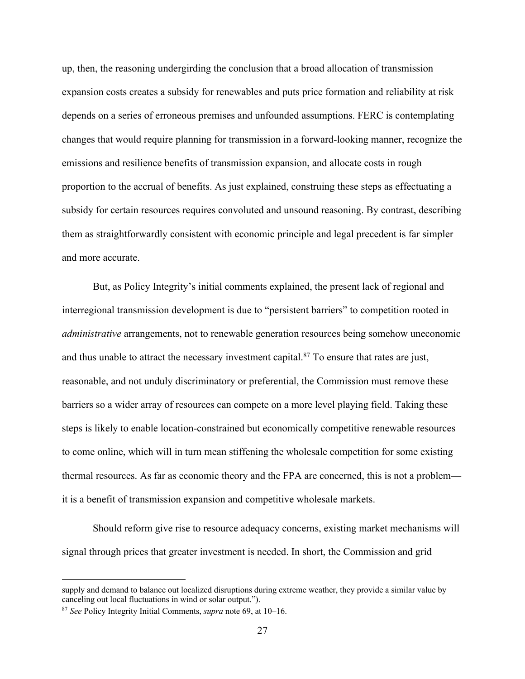up, then, the reasoning undergirding the conclusion that a broad allocation of transmission expansion costs creates a subsidy for renewables and puts price formation and reliability at risk depends on a series of erroneous premises and unfounded assumptions. FERC is contemplating changes that would require planning for transmission in a forward-looking manner, recognize the emissions and resilience benefits of transmission expansion, and allocate costs in rough proportion to the accrual of benefits. As just explained, construing these steps as effectuating a subsidy for certain resources requires convoluted and unsound reasoning. By contrast, describing them as straightforwardly consistent with economic principle and legal precedent is far simpler and more accurate.

But, as Policy Integrity's initial comments explained, the present lack of regional and interregional transmission development is due to "persistent barriers" to competition rooted in *administrative* arrangements, not to renewable generation resources being somehow uneconomic and thus unable to attract the necessary investment capital.<sup>87</sup> To ensure that rates are just, reasonable, and not unduly discriminatory or preferential, the Commission must remove these barriers so a wider array of resources can compete on a more level playing field. Taking these steps is likely to enable location-constrained but economically competitive renewable resources to come online, which will in turn mean stiffening the wholesale competition for some existing thermal resources. As far as economic theory and the FPA are concerned, this is not a problem it is a benefit of transmission expansion and competitive wholesale markets.

Should reform give rise to resource adequacy concerns, existing market mechanisms will signal through prices that greater investment is needed. In short, the Commission and grid

supply and demand to balance out localized disruptions during extreme weather, they provide a similar value by canceling out local fluctuations in wind or solar output.").

<sup>87</sup> *See* Policy Integrity Initial Comments, *supra* note 69, at 10–16.